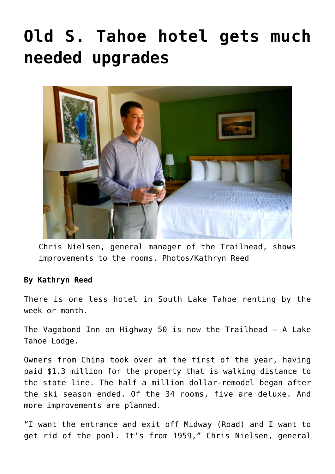## **[Old S. Tahoe hotel gets much](https://www.laketahoenews.net/2014/08/old-s-tahoe-hotel-gets-much-needed-upgrades/) [needed upgrades](https://www.laketahoenews.net/2014/08/old-s-tahoe-hotel-gets-much-needed-upgrades/)**



Chris Nielsen, general manager of the Trailhead, shows improvements to the rooms. Photos/Kathryn Reed

## **By Kathryn Reed**

There is one less hotel in South Lake Tahoe renting by the week or month.

The Vagabond Inn on Highway 50 is now the Trailhead – A Lake Tahoe Lodge.

Owners from China took over at the first of the year, having paid \$1.3 million for the property that is walking distance to the state line. The half a million dollar-remodel began after the ski season ended. Of the 34 rooms, five are deluxe. And more improvements are planned.

"I want the entrance and exit off Midway (Road) and I want to get rid of the pool. It's from 1959," Chris Nielsen, general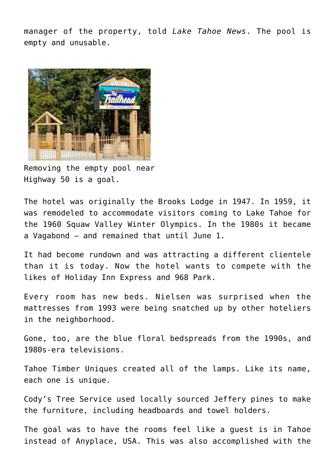manager of the property, told *Lake Tahoe News*. The pool is empty and unusable.



Removing the empty pool near Highway 50 is a goal.

The hotel was originally the Brooks Lodge in 1947. In 1959, it was remodeled to accommodate visitors coming to Lake Tahoe for the 1960 Squaw Valley Winter Olympics. In the 1980s it became a Vagabond – and remained that until June 1.

It had become rundown and was attracting a different clientele than it is today. Now the hotel wants to compete with the likes of Holiday Inn Express and 968 Park.

Every room has new beds. Nielsen was surprised when the mattresses from 1993 were being snatched up by other hoteliers in the neighborhood.

Gone, too, are the blue floral bedspreads from the 1990s, and 1980s-era televisions.

Tahoe Timber Uniques created all of the lamps. Like its name, each one is unique.

Cody's Tree Service used locally sourced Jeffery pines to make the furniture, including headboards and towel holders.

The goal was to have the rooms feel like a guest is in Tahoe instead of Anyplace, USA. This was also accomplished with the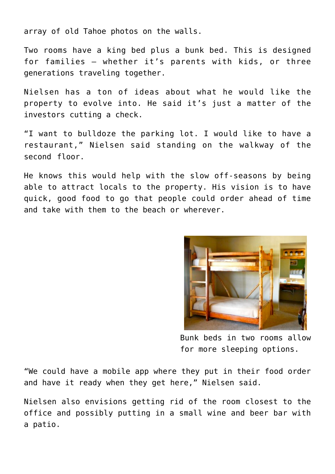array of old Tahoe photos on the walls.

Two rooms have a king bed plus a bunk bed. This is designed for families – whether it's parents with kids, or three generations traveling together.

Nielsen has a ton of ideas about what he would like the property to evolve into. He said it's just a matter of the investors cutting a check.

"I want to bulldoze the parking lot. I would like to have a restaurant," Nielsen said standing on the walkway of the second floor.

He knows this would help with the slow off-seasons by being able to attract locals to the property. His vision is to have quick, good food to go that people could order ahead of time and take with them to the beach or wherever.



Bunk beds in two rooms allow for more sleeping options.

"We could have a mobile app where they put in their food order and have it ready when they get here," Nielsen said.

Nielsen also envisions getting rid of the room closest to the office and possibly putting in a small wine and beer bar with a patio.